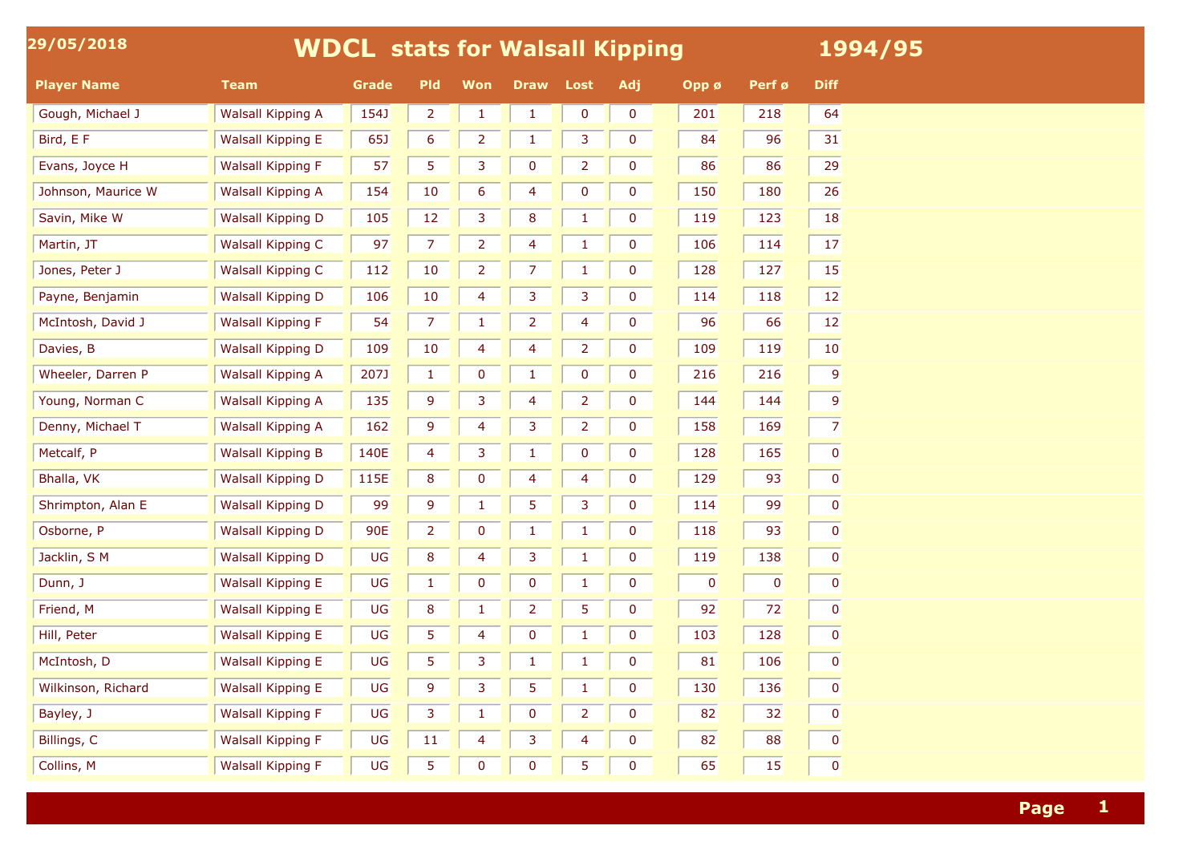| 29/05/2018         |                          | <b>WDCL stats for Walsall Kipping</b> |            |                | 1994/95        |                |                |             |           |                 |
|--------------------|--------------------------|---------------------------------------|------------|----------------|----------------|----------------|----------------|-------------|-----------|-----------------|
| <b>Player Name</b> | <b>Team</b>              | Grade                                 | <b>Pld</b> | <b>Won</b>     | <b>Draw</b>    | <b>Lost</b>    | Adj            | Opp ø       | Perf ø    | <b>Diff</b>     |
| Gough, Michael J   | Walsall Kipping A        | 154J                                  | 2          | $\mathbf{1}$   |                | $\bf{0}$       | $\bf{0}$       | 201         | 218       | 64              |
| Bird, E F          | Walsall Kipping E        | 65J                                   | 6          | $\overline{2}$ |                | 3              | $\mathbf 0$    | 84          | 96        | 31              |
| Evans, Joyce H     | <b>Walsall Kipping F</b> | 57                                    | 5.         | 3              | 0              | $\overline{2}$ | $\overline{0}$ | 86          | 86        | 29              |
| Johnson, Maurice W | Walsall Kipping A        | 154                                   | 10         | 6              | 4              | 0              | $\mathbf 0$    | 150         | 180       | 26              |
| Savin, Mike W      | <b>Walsall Kipping D</b> | 105                                   | 12         | 3              | 8              |                | $\bf{0}$       | 119         | 123       | 18              |
| Martin, JT         | <b>Walsall Kipping C</b> | 97                                    |            | 2              | 4              |                | $\mathbf{0}$   | 106         | 114       | 17              |
| Jones, Peter J     | <b>Walsall Kipping C</b> | 112                                   | 10         | $\overline{2}$ |                |                | $\mathbf 0$    | 128         | 127       | 15              |
| Payne, Benjamin    | Walsall Kipping D        | 106                                   | 10         | 4              | 3              | 3              | $\mathbf 0$    | 114         | 118       | 12              |
| McIntosh, David J  | <b>Walsall Kipping F</b> | 54                                    |            | -1             | 2              | 4              | $\mathbf 0$    | 96          | 66        | 12              |
| Davies, B          | <b>Walsall Kipping D</b> | 109                                   | 10         | 4              | 4              | $\overline{2}$ | $\mathbf 0$    | 109         | 119       | 10              |
| Wheeler, Darren P  | Walsall Kipping A        | 207J                                  |            | 0              |                | 0              | $\mathbf 0$    | 216         | 216       | $\vert 9 \vert$ |
| Young, Norman C    | Walsall Kipping A        | 135                                   | 9          | 3              | 4              | 2              | $\mathbf 0$    | 144         | 144       | $\overline{9}$  |
| Denny, Michael T   | Walsall Kipping A        | 162                                   | q          | 4              | 3              | $\overline{2}$ | $\mathbf 0$    | 158         | 169       | $\overline{7}$  |
| Metcalf, P         | <b>Walsall Kipping B</b> | 140E                                  |            | 3              |                | $\bf{0}$       | $\mathbf 0$    | 128         | 165       | 0               |
| Bhalla, VK         | <b>Walsall Kipping D</b> | 115E                                  | 8          | $\mathbf 0$    | 4              | 4              | $\mathbf{0}$   | 129         | 93        | 0               |
| Shrimpton, Alan E  | <b>Walsall Kipping D</b> | 99                                    | 9          | $\mathbf 1$    | 5              | 3              | $\mathbf 0$    | 114         | 99        | $\mathbf{0}$    |
| Osborne, P         | <b>Walsall Kipping D</b> | 90E                                   |            | 0              |                |                | $\mathbf 0$    | 118         | 93        | 0               |
| Jacklin, S M       | Walsall Kipping D        | UG                                    | 8          | 4              | 3              | $\mathbf{1}$   | $\overline{0}$ | 119         | 138       | $\pmb{0}$       |
| Dunn, J            | <b>Walsall Kipping E</b> | UG                                    |            | $\mathbf 0$    | $\bf{0}$       |                | $\mathbf 0$    | $\mathbf 0$ | $\pmb{0}$ | 0               |
| Friend, M          | Walsall Kipping E        | UG                                    | 8          |                | $\overline{2}$ | 5              | $\bf{0}$       | 92          | 72        | 0               |
| Hill, Peter        | Walsall Kipping E        | UG                                    | 5.         | 4              | $\bf{0}$       | -1             | $\mathbf 0$    | 103         | 128       | 0               |
| McIntosh, D        | Walsall Kipping E        | UG                                    | 5          | 3              |                |                | $\mathbf 0$    | 81          | 106       | $\mathbf{0}$    |
| Wilkinson, Richard | Walsall Kipping E        | UG                                    | 9          | 3              | 5              |                | $\bf{0}$       | 130         | 136       | 0               |
| Bayley, J          | <b>Walsall Kipping F</b> | UG                                    | 3          | $\mathbf{1}$   | $\bf{0}$       | $\overline{2}$ | $\mathbf 0$    | 82          | 32        | 0               |
| Billings, C        | <b>Walsall Kipping F</b> | UG                                    | 11         | 4              | 3              | 4              | $\bf{0}$       | 82          | 88        | 0               |
| Collins, M         | Walsall Kipping F        | UG                                    | 5.         | $\mathbf 0$    | $\bf{0}$       | 5              | $\mathbf 0$    | 65          | 15        | $\mathbf{0}$    |